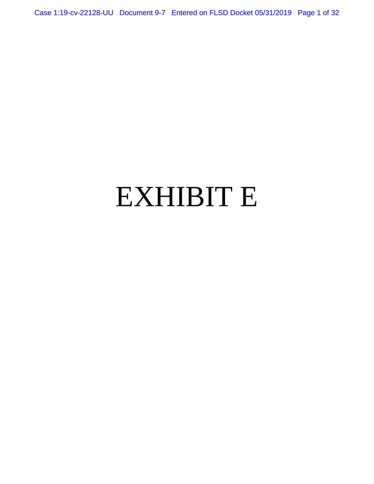Case 1:19-cv-22128-UU Document 9-7 Entered on FLSD Docket 05/31/2019 Page 1 of 32

# EXHIBIT E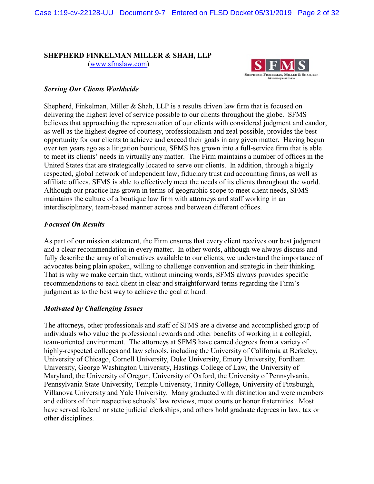# **SHEPHERD FINKELMAN MILLER & SHAH, LLP**

[\(www.sfmslaw.com](http://www.sfmslaw.com))



# *Serving Our Clients Worldwide*

Shepherd, Finkelman, Miller & Shah, LLP is a results driven law firm that is focused on delivering the highest level of service possible to our clients throughout the globe. SFMS believes that approaching the representation of our clients with considered judgment and candor, as well as the highest degree of courtesy, professionalism and zeal possible, provides the best opportunity for our clients to achieve and exceed their goals in any given matter. Having begun over ten years ago as a litigation boutique, SFMS has grown into a full-service firm that is able to meet its clients' needs in virtually any matter. The Firm maintains a number of offices in the United States that are strategically located to serve our clients. In addition, through a highly respected, global network of independent law, fiduciary trust and accounting firms, as well as affiliate offices, SFMS is able to effectively meet the needs of its clients throughout the world. Although our practice has grown in terms of geographic scope to meet client needs, SFMS maintains the culture of a boutique law firm with attorneys and staff working in an interdisciplinary, team-based manner across and between different offices.

# *Focused On Results*

As part of our mission statement, the Firm ensures that every client receives our best judgment and a clear recommendation in every matter. In other words, although we always discuss and fully describe the array of alternatives available to our clients, we understand the importance of advocates being plain spoken, willing to challenge convention and strategic in their thinking. That is why we make certain that, without mincing words, SFMS always provides specific recommendations to each client in clear and straightforward terms regarding the Firm's judgment as to the best way to achieve the goal at hand.

# *Motivated by Challenging Issues*

The attorneys, other professionals and staff of SFMS are a diverse and accomplished group of individuals who value the professional rewards and other benefits of working in a collegial, team-oriented environment. The attorneys at SFMS have earned degrees from a variety of highly-respected colleges and law schools, including the University of California at Berkeley, University of Chicago, Cornell University, Duke University, Emory University, Fordham University, George Washington University, Hastings College of Law, the University of Maryland, the University of Oregon, University of Oxford, the University of Pennsylvania, Pennsylvania State University, Temple University, Trinity College, University of Pittsburgh, Villanova University and Yale University. Many graduated with distinction and were members and editors of their respective schools' law reviews, moot courts or honor fraternities. Most have served federal or state judicial clerkships, and others hold graduate degrees in law, tax or other disciplines.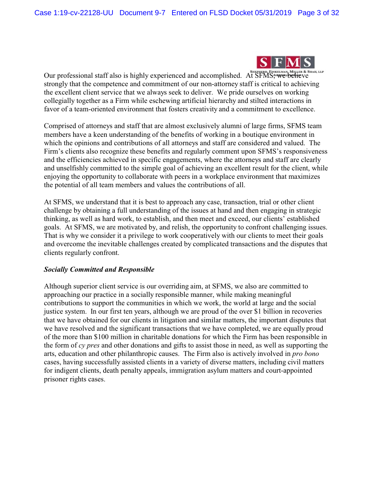

Our professional staff also is highly experienced and accomplished. At SFMS, we believe strongly that the competence and commitment of our non-attorney staff is critical to achieving the excellent client service that we always seek to deliver. We pride ourselves on working collegially together as a Firm while eschewing artificial hierarchy and stilted interactions in favor of a team-oriented environment that fosters creativity and a commitment to excellence.

Comprised of attorneys and staff that are almost exclusively alumni of large firms, SFMS team members have a keen understanding of the benefits of working in a boutique environment in which the opinions and contributions of all attorneys and staff are considered and valued. The Firm's clients also recognize these benefits and regularly comment upon SFMS's responsiveness and the efficiencies achieved in specific engagements, where the attorneys and staff are clearly and unselfishly committed to the simple goal of achieving an excellent result for the client, while enjoying the opportunity to collaborate with peers in a workplace environment that maximizes the potential of all team members and values the contributions of all.

At SFMS, we understand that it is best to approach any case, transaction, trial or other client challenge by obtaining a full understanding of the issues at hand and then engaging in strategic thinking, as well as hard work, to establish, and then meet and exceed, our clients' established goals. At SFMS, we are motivated by, and relish, the opportunity to confront challenging issues. That is why we consider it a privilege to work cooperatively with our clients to meet their goals and overcome the inevitable challenges created by complicated transactions and the disputes that clients regularly confront.

# *Socially Committed and Responsible*

Although superior client service is our overriding aim, at SFMS, we also are committed to approaching our practice in a socially responsible manner, while making meaningful contributions to support the communities in which we work, the world at large and the social justice system. In our first ten years, although we are proud of the over \$1 billion in recoveries that we have obtained for our clients in litigation and similar matters, the important disputes that we have resolved and the significant transactions that we have completed, we are equally proud of the more than \$100 million in charitable donations for which the Firm has been responsible in the form of *cy pres* and other donations and gifts to assist those in need, as well as supporting the arts, education and other philanthropic causes. The Firm also is actively involved in *pro bono* cases, having successfully assisted clients in a variety of diverse matters, including civil matters for indigent clients, death penalty appeals, immigration asylum matters and court-appointed prisoner rights cases.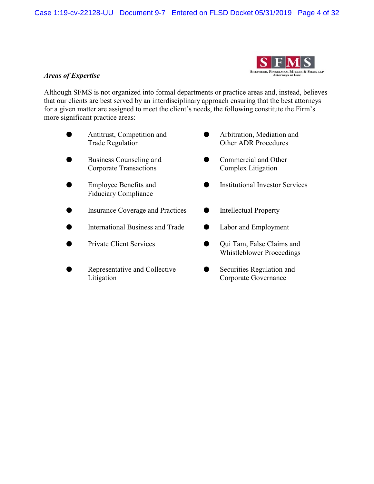

# *Areas of Expertise*

Although SFMS is not organized into formal departments or practice areas and, instead, believes that our clients are best served by an interdisciplinary approach ensuring that the best attorneys for a given matter are assigned to meet the client's needs, the following constitute the Firm's more significant practice areas:

- **•** Antitrust, Competition and **Computer** Arbitration, Mediation and
- **M** Business Counseling and **Commercial and Other** Corporate Transactions Complex Litigation
- Fiduciary Compliance
- **M** Insurance Coverage and Practices **C** Intellectual Property
- International Business and Trade **Concernational Business and Trade** Cabor and Employment
- 
- Litigation Corporate Governance
- Trade Regulation **Other ADR Procedures** 
	-
- Employee Benefits and  $\bullet$  Institutional Investor Services
	-
	-
- Private Client Services Qui Tam, False Claims and Whistleblower Proceedings
- Representative and Collective **Collective** Securities Regulation and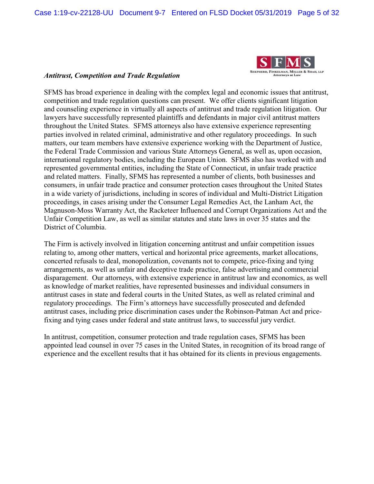

# *Antitrust, Competition and Trade Regulation*

SFMS has broad experience in dealing with the complex legal and economic issues that antitrust, competition and trade regulation questions can present. We offer clients significant litigation and counseling experience in virtually all aspects of antitrust and trade regulation litigation. Our lawyers have successfully represented plaintiffs and defendants in major civil antitrust matters throughout the United States. SFMS attorneys also have extensive experience representing parties involved in related criminal, administrative and other regulatory proceedings. In such matters, our team members have extensive experience working with the Department of Justice, the Federal Trade Commission and various State Attorneys General, as well as, upon occasion, international regulatory bodies, including the European Union. SFMS also has worked with and represented governmental entities, including the State of Connecticut, in unfair trade practice and related matters. Finally, SFMS has represented a number of clients, both businesses and consumers, in unfair trade practice and consumer protection cases throughout the United States in a wide variety of jurisdictions, including in scores of individual and Multi-District Litigation proceedings, in cases arising under the Consumer Legal Remedies Act, the Lanham Act, the Magnuson-Moss Warranty Act, the Racketeer Influenced and Corrupt Organizations Act and the Unfair Competition Law, as well as similar statutes and state laws in over 35 states and the District of Columbia.

The Firm is actively involved in litigation concerning antitrust and unfair competition issues relating to, among other matters, vertical and horizontal price agreements, market allocations, concerted refusals to deal, monopolization, covenants not to compete, price-fixing and tying arrangements, as well as unfair and deceptive trade practice, false advertising and commercial disparagement. Our attorneys, with extensive experience in antitrust law and economics, as well as knowledge of market realities, have represented businesses and individual consumers in antitrust cases in state and federal courts in the United States, as well as related criminal and regulatory proceedings. The Firm's attorneys have successfully prosecuted and defended antitrust cases, including price discrimination cases under the Robinson-Patman Act and pricefixing and tying cases under federal and state antitrust laws, to successful jury verdict.

In antitrust, competition, consumer protection and trade regulation cases, SFMS has been appointed lead counsel in over 75 cases in the United States, in recognition of its broad range of experience and the excellent results that it has obtained for its clients in previous engagements.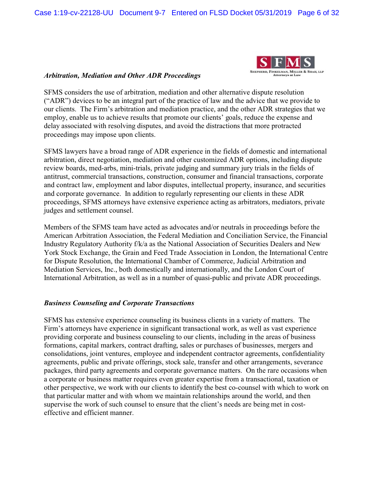

# *Arbitration, Mediation and Other ADR Proceedings*

SFMS considers the use of arbitration, mediation and other alternative dispute resolution ("ADR") devices to be an integral part of the practice of law and the advice that we provide to our clients. The Firm's arbitration and mediation practice, and the other ADR strategies that we employ, enable us to achieve results that promote our clients' goals, reduce the expense and delay associated with resolving disputes, and avoid the distractions that more protracted proceedings may impose upon clients.

SFMS lawyers have a broad range of ADR experience in the fields of domestic and international arbitration, direct negotiation, mediation and other customized ADR options, including dispute review boards, med-arbs, mini-trials, private judging and summary jury trials in the fields of antitrust, commercial transactions, construction, consumer and financial transactions, corporate and contract law, employment and labor disputes, intellectual property, insurance, and securities and corporate governance. In addition to regularly representing our clients in these ADR proceedings, SFMS attorneys have extensive experience acting as arbitrators, mediators, private judges and settlement counsel.

Members of the SFMS team have acted as advocates and/or neutrals in proceedings before the American Arbitration Association, the Federal Mediation and Conciliation Service, the Financial Industry Regulatory Authority f/k/a as the National Association of Securities Dealers and New York Stock Exchange, the Grain and Feed Trade Association in London, the International Centre for Dispute Resolution, the International Chamber of Commerce, Judicial Arbitration and Mediation Services, Inc., both domestically and internationally, and the London Court of International Arbitration, as well as in a number of quasi-public and private ADR proceedings.

# *Business Counseling and Corporate Transactions*

SFMS has extensive experience counseling its business clients in a variety of matters. The Firm's attorneys have experience in significant transactional work, as well as vast experience providing corporate and business counseling to our clients, including in the areas of business formations, capital markers, contract drafting, sales or purchases of businesses, mergers and consolidations, joint ventures, employee and independent contractor agreements, confidentiality agreements, public and private offerings, stock sale, transfer and other arrangements, severance packages, third party agreements and corporate governance matters. On the rare occasions when a corporate or business matter requires even greater expertise from a transactional, taxation or other perspective, we work with our clients to identify the best co-counsel with which to work on that particular matter and with whom we maintain relationships around the world, and then supervise the work of such counsel to ensure that the client's needs are being met in costeffective and efficient manner.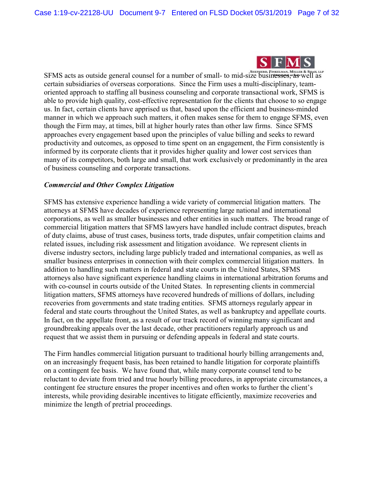

SFMS acts as outside general counsel for a number of small- to mid-size businesses, "as well as certain subsidiaries of overseas corporations. Since the Firm uses a multi-disciplinary, teamoriented approach to staffing all business counseling and corporate transactional work, SFMS is able to provide high quality, cost-effective representation for the clients that choose to so engage us. In fact, certain clients have apprised us that, based upon the efficient and business-minded manner in which we approach such matters, it often makes sense for them to engage SFMS, even though the Firm may, at times, bill at higher hourly rates than other law firms. Since SFMS approaches every engagement based upon the principles of value billing and seeks to reward productivity and outcomes, as opposed to time spent on an engagement, the Firm consistently is informed by its corporate clients that it provides higher quality and lower cost services than many of its competitors, both large and small, that work exclusively or predominantly in the area of business counseling and corporate transactions.

# *Commercial and Other Complex Litigation*

SFMS has extensive experience handling a wide variety of commercial litigation matters. The attorneys at SFMS have decades of experience representing large national and international corporations, as well as smaller businesses and other entities in such matters. The broad range of commercial litigation matters that SFMS lawyers have handled include contract disputes, breach of duty claims, abuse of trust cases, business torts, trade disputes, unfair competition claims and related issues, including risk assessment and litigation avoidance. We represent clients in diverse industry sectors, including large publicly traded and international companies, as well as smaller business enterprises in connection with their complex commercial litigation matters. In addition to handling such matters in federal and state courts in the United States, SFMS attorneys also have significant experience handling claims in international arbitration forums and with co-counsel in courts outside of the United States. In representing clients in commercial litigation matters, SFMS attorneys have recovered hundreds of millions of dollars, including recoveries from governments and state trading entities. SFMS attorneys regularly appear in federal and state courts throughout the United States, as well as bankruptcy and appellate courts. In fact, on the appellate front, as a result of our track record of winning many significant and groundbreaking appeals over the last decade, other practitioners regularly approach us and request that we assist them in pursuing or defending appeals in federal and state courts.

The Firm handles commercial litigation pursuant to traditional hourly billing arrangements and, on an increasingly frequent basis, has been retained to handle litigation for corporate plaintiffs on a contingent fee basis. We have found that, while many corporate counsel tend to be reluctant to deviate from tried and true hourly billing procedures, in appropriate circumstances, a contingent fee structure ensures the proper incentives and often works to further the client's interests, while providing desirable incentives to litigate efficiently, maximize recoveries and minimize the length of pretrial proceedings.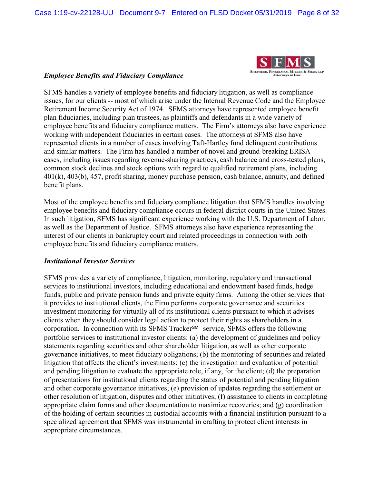

# *Employee Benefits and Fiduciary Compliance*

SFMS handles a variety of employee benefits and fiduciary litigation, as well as compliance issues, for our clients -- most of which arise under the Internal Revenue Code and the Employee Retirement Income Security Act of 1974. SFMS attorneys have represented employee benefit plan fiduciaries, including plan trustees, as plaintiffs and defendants in a wide variety of employee benefits and fiduciary compliance matters. The Firm's attorneys also have experience working with independent fiduciaries in certain cases. The attorneys at SFMS also have represented clients in a number of cases involving Taft-Hartley fund delinquent contributions and similar matters. The Firm has handled a number of novel and ground-breaking ERISA cases, including issues regarding revenue-sharing practices, cash balance and cross-tested plans, common stock declines and stock options with regard to qualified retirement plans, including 401(k), 403(b), 457, profit sharing, money purchase pension, cash balance, annuity, and defined benefit plans.

Most of the employee benefits and fiduciary compliance litigation that SFMS handles involving employee benefits and fiduciary compliance occurs in federal district courts in the United States. In such litigation, SFMS has significant experience working with the U.S. Department of Labor, as well as the Department of Justice. SFMS attorneys also have experience representing the interest of our clients in bankruptcy court and related proceedings in connection with both employee benefits and fiduciary compliance matters.

# *Institutional Investor Services*

SFMS provides a variety of compliance, litigation, monitoring, regulatory and transactional services to institutional investors, including educational and endowment based funds, hedge funds, public and private pension funds and private equity firms. Among the other services that it provides to institutional clients, the Firm performs corporate governance and securities investment monitoring for virtually all of its institutional clients pursuant to which it advises clients when they should consider legal action to protect their rights as shareholders in a corporation. In connection with its SFMS Tracker<sup>SM</sup> service, SFMS offers the following portfolio services to institutional investor clients: (a) the development of guidelines and policy statements regarding securities and other shareholder litigation, as well as other corporate governance initiatives, to meet fiduciary obligations; (b) the monitoring of securities and related litigation that affects the client's investments; (c) the investigation and evaluation of potential and pending litigation to evaluate the appropriate role, if any, for the client; (d) the preparation of presentations for institutional clients regarding the status of potential and pending litigation and other corporate governance initiatives; (e) provision of updates regarding the settlement or other resolution of litigation, disputes and other initiatives; (f) assistance to clients in completing appropriate claim forms and other documentation to maximize recoveries; and (g) coordination of the holding of certain securities in custodial accounts with a financial institution pursuant to a specialized agreement that SFMS was instrumental in crafting to protect client interests in appropriate circumstances.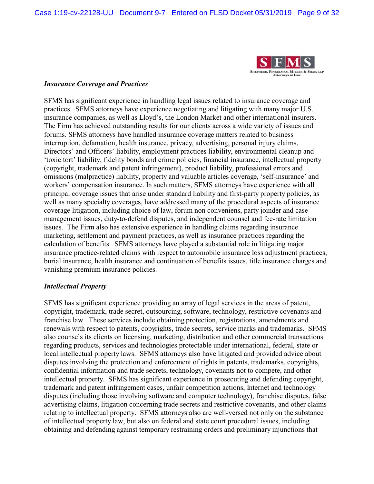

#### *Insurance Coverage and Practices*

SFMS has significant experience in handling legal issues related to insurance coverage and practices. SFMS attorneys have experience negotiating and litigating with many major U.S. insurance companies, as well as Lloyd's, the London Market and other international insurers. The Firm has achieved outstanding results for our clients across a wide variety of issues and forums. SFMS attorneys have handled insurance coverage matters related to business interruption, defamation, health insurance, privacy, advertising, personal injury claims, Directors' and Officers' liability, employment practices liability, environmental cleanup and 'toxic tort' liability, fidelity bonds and crime policies, financial insurance, intellectual property (copyright, trademark and patent infringement), product liability, professional errors and omissions (malpractice) liability, property and valuable articles coverage, 'self-insurance' and workers' compensation insurance. In such matters, SFMS attorneys have experience with all principal coverage issues that arise under standard liability and first-party property policies, as well as many specialty coverages, have addressed many of the procedural aspects of insurance coverage litigation, including choice of law, forum non conveniens, party joinder and case management issues, duty-to-defend disputes, and independent counsel and fee-rate limitation issues. The Firm also has extensive experience in handling claims regarding insurance marketing, settlement and payment practices, as well as insurance practices regarding the calculation of benefits. SFMS attorneys have played a substantial role in litigating major insurance practice-related claims with respect to automobile insurance loss adjustment practices, burial insurance, health insurance and continuation of benefits issues, title insurance charges and vanishing premium insurance policies.

# *Intellectual Property*

SFMS has significant experience providing an array of legal services in the areas of patent, copyright, trademark, trade secret, outsourcing, software, technology, restrictive covenants and franchise law. These services include obtaining protection, registrations, amendments and renewals with respect to patents, copyrights, trade secrets, service marks and trademarks. SFMS also counsels its clients on licensing, marketing, distribution and other commercial transactions regarding products, services and technologies protectable under international, federal, state or local intellectual property laws. SFMS attorneys also have litigated and provided advice about disputes involving the protection and enforcement of rights in patents, trademarks, copyrights, confidential information and trade secrets, technology, covenants not to compete, and other intellectual property. SFMS has significant experience in prosecuting and defending copyright, trademark and patent infringement cases, unfair competition actions, Internet and technology disputes (including those involving software and computer technology), franchise disputes, false advertising claims, litigation concerning trade secrets and restrictive covenants, and other claims relating to intellectual property. SFMS attorneys also are well-versed not only on the substance of intellectual property law, but also on federal and state court procedural issues, including obtaining and defending against temporary restraining orders and preliminary injunctions that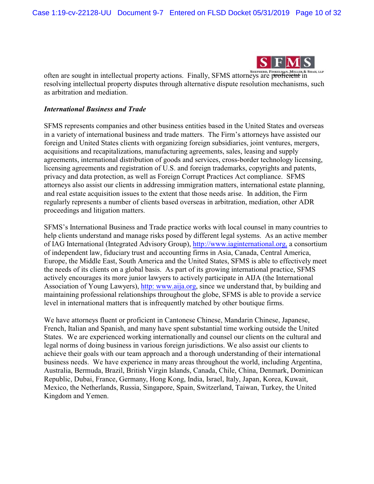

often are sought in intellectual property actions. Finally, SFMS attorneys are proficient in resolving intellectual property disputes through alternative dispute resolution mechanisms, such as arbitration and mediation.

#### *International Business and Trade*

SFMS represents companies and other business entities based in the United States and overseas in a variety of international business and trade matters. The Firm's attorneys have assisted our foreign and United States clients with organizing foreign subsidiaries, joint ventures, mergers, acquisitions and recapitalizations, manufacturing agreements, sales, leasing and supply agreements, international distribution of goods and services, cross-border technology licensing, licensing agreements and registration of U.S. and foreign trademarks, copyrights and patents, privacy and data protection, as well as Foreign Corrupt Practices Act compliance. SFMS attorneys also assist our clients in addressing immigration matters, international estate planning, and real estate acquisition issues to the extent that those needs arise. In addition, the Firm regularly represents a number of clients based overseas in arbitration, mediation, other ADR proceedings and litigation matters.

SFMS's International Business and Trade practice works with local counsel in many countries to help clients understand and manage risks posed by different legal systems. As an active member of IAG International (Integrated Advisory Group), [http://www.iaginternational.org,](http://www.iaginternational.org) a consortium of independent law, fiduciary trust and accounting firms in Asia, Canada, Central America, Europe, the Middle East, South America and the United States, SFMS is able to effectively meet the needs of its clients on a global basis. As part of its growing international practice, SFMS actively encourages its more junior lawyers to actively participate in AIJA (the International Association of Young Lawyers), [http: www.aija.org](http://www.aija.org), since we understand that, by building and maintaining professional relationships throughout the globe, SFMS is able to provide a service level in international matters that is infrequently matched by other boutique firms.

We have attorneys fluent or proficient in Cantonese Chinese, Mandarin Chinese, Japanese, French, Italian and Spanish, and many have spent substantial time working outside the United States. We are experienced working internationally and counsel our clients on the cultural and legal norms of doing business in various foreign jurisdictions. We also assist our clients to achieve their goals with our team approach and a thorough understanding of their international business needs. We have experience in many areas throughout the world, including Argentina, Australia, Bermuda, Brazil, British Virgin Islands, Canada, Chile, China, Denmark, Dominican Republic, Dubai, France, Germany, Hong Kong, India, Israel, Italy, Japan, Korea, Kuwait, Mexico, the Netherlands, Russia, Singapore, Spain, Switzerland, Taiwan, Turkey, the United Kingdom and Yemen.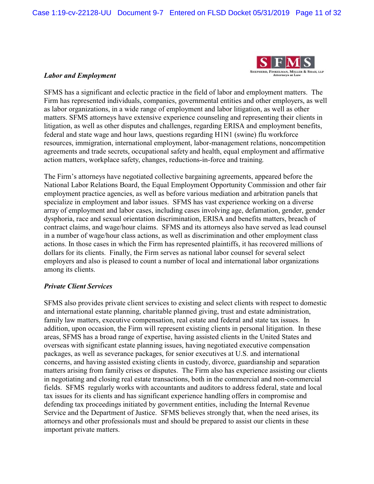

#### *Labor and Employment*

SFMS has a significant and eclectic practice in the field of labor and employment matters. The Firm has represented individuals, companies, governmental entities and other employers, as well as labor organizations, in a wide range of employment and labor litigation, as well as other matters. SFMS attorneys have extensive experience counseling and representing their clients in litigation, as well as other disputes and challenges, regarding ERISA and employment benefits, federal and state wage and hour laws, questions regarding H1N1 (swine) flu workforce resources, immigration, international employment, labor-management relations, noncompetition agreements and trade secrets, occupational safety and health, equal employment and affirmative action matters, workplace safety, changes, reductions-in-force and training.

The Firm's attorneys have negotiated collective bargaining agreements, appeared before the National Labor Relations Board, the Equal Employment Opportunity Commission and other fair employment practice agencies, as well as before various mediation and arbitration panels that specialize in employment and labor issues. SFMS has vast experience working on a diverse array of employment and labor cases, including cases involving age, defamation, gender, gender dysphoria, race and sexual orientation discrimination, ERISA and benefits matters, breach of contract claims, and wage/hour claims. SFMS and its attorneys also have served as lead counsel in a number of wage/hour class actions, as well as discrimination and other employment class actions. In those cases in which the Firm has represented plaintiffs, it has recovered millions of dollars for its clients. Finally, the Firm serves as national labor counsel for several select employers and also is pleased to count a number of local and international labor organizations among its clients.

# *Private Client Services*

SFMS also provides private client services to existing and select clients with respect to domestic and international estate planning, charitable planned giving, trust and estate administration, family law matters, executive compensation, real estate and federal and state tax issues. In addition, upon occasion, the Firm will represent existing clients in personal litigation. In these areas, SFMS has a broad range of expertise, having assisted clients in the United States and overseas with significant estate planning issues, having negotiated executive compensation packages, as well as severance packages, for senior executives at U.S. and international concerns, and having assisted existing clients in custody, divorce, guardianship and separation matters arising from family crises or disputes. The Firm also has experience assisting our clients in negotiating and closing real estate transactions, both in the commercial and non-commercial fields. SFMS regularly works with accountants and auditors to address federal, state and local tax issues for its clients and has significant experience handling offers in compromise and defending tax proceedings initiated by government entities, including the Internal Revenue Service and the Department of Justice. SFMS believes strongly that, when the need arises, its attorneys and other professionals must and should be prepared to assist our clients in these important private matters.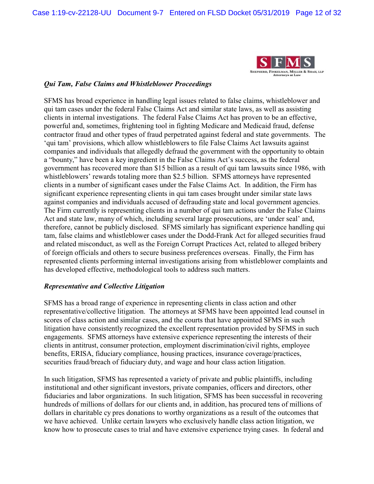

# *Qui Tam, False Claims and Whistleblower Proceedings*

SFMS has broad experience in handling legal issues related to false claims, whistleblower and qui tam cases under the federal False Claims Act and similar state laws, as well as assisting clients in internal investigations. The federal False Claims Act has proven to be an effective, powerful and, sometimes, frightening tool in fighting Medicare and Medicaid fraud, defense contractor fraud and other types of fraud perpetrated against federal and state governments. The 'qui tam' provisions, which allow whistleblowers to file False Claims Act lawsuits against companies and individuals that allegedly defraud the government with the opportunity to obtain a "bounty," have been a key ingredient in the False Claims Act's success, as the federal government has recovered more than \$15 billion as a result of qui tam lawsuits since 1986, with whistleblowers' rewards totaling more than \$2.5 billion. SFMS attorneys have represented clients in a number of significant cases under the False Claims Act. In addition, the Firm has significant experience representing clients in qui tam cases brought under similar state laws against companies and individuals accused of defrauding state and local government agencies. The Firm currently is representing clients in a number of qui tam actions under the False Claims Act and state law, many of which, including several large prosecutions, are 'under seal' and, therefore, cannot be publicly disclosed. SFMS similarly has significant experience handling qui tam, false claims and whistleblower cases under the Dodd-Frank Act for alleged securities fraud and related misconduct, as well as the Foreign Corrupt Practices Act, related to alleged bribery of foreign officials and others to secure business preferences overseas. Finally, the Firm has represented clients performing internal investigations arising from whistleblower complaints and has developed effective, methodological tools to address such matters.

# *Representative and Collective Litigation*

SFMS has a broad range of experience in representing clients in class action and other representative/collective litigation. The attorneys at SFMS have been appointed lead counsel in scores of class action and similar cases, and the courts that have appointed SFMS in such litigation have consistently recognized the excellent representation provided by SFMS in such engagements. SFMS attorneys have extensive experience representing the interests of their clients in antitrust, consumer protection, employment discrimination/civil rights, employee benefits, ERISA, fiduciary compliance, housing practices, insurance coverage/practices, securities fraud/breach of fiduciary duty, and wage and hour class action litigation.

In such litigation, SFMS has represented a variety of private and public plaintiffs, including institutional and other significant investors, private companies, officers and directors, other fiduciaries and labor organizations. In such litigation, SFMS has been successful in recovering hundreds of millions of dollars for our clients and, in addition, has procured tens of millions of dollars in charitable cy pres donations to worthy organizations as a result of the outcomes that we have achieved. Unlike certain lawyers who exclusively handle class action litigation, we know how to prosecute cases to trial and have extensive experience trying cases. In federal and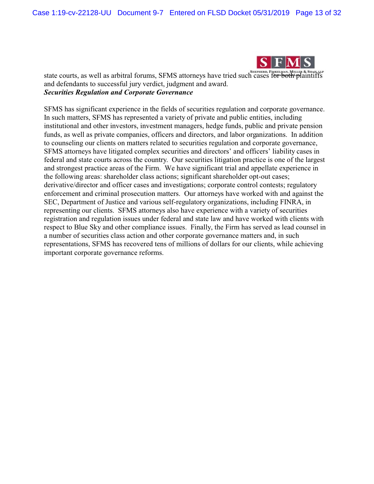

state courts, as well as arbitral forums, SFMS attorneys have tried such cases for both plaintiffs and defendants to successful jury verdict, judgment and award. *Securities Regulation and Corporate Governance*

SFMS has significant experience in the fields of securities regulation and corporate governance. In such matters, SFMS has represented a variety of private and public entities, including institutional and other investors, investment managers, hedge funds, public and private pension funds, as well as private companies, officers and directors, and labor organizations. In addition to counseling our clients on matters related to securities regulation and corporate governance, SFMS attorneys have litigated complex securities and directors' and officers' liability cases in federal and state courts across the country. Our securities litigation practice is one of the largest and strongest practice areas of the Firm. We have significant trial and appellate experience in the following areas: shareholder class actions; significant shareholder opt-out cases; derivative/director and officer cases and investigations; corporate control contests; regulatory enforcement and criminal prosecution matters. Our attorneys have worked with and against the SEC, Department of Justice and various self-regulatory organizations, including FINRA, in representing our clients. SFMS attorneys also have experience with a variety of securities registration and regulation issues under federal and state law and have worked with clients with respect to Blue Sky and other compliance issues. Finally, the Firm has served as lead counsel in a number of securities class action and other corporate governance matters and, in such representations, SFMS has recovered tens of millions of dollars for our clients, while achieving important corporate governance reforms.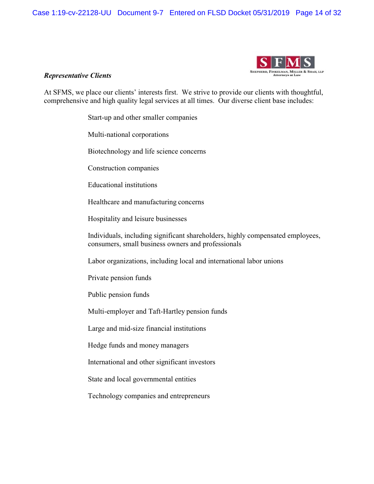Case 1:19-cv-22128-UU Document 9-7 Entered on FLSD Docket 05/31/2019 Page 14 of 32



#### *Representative Clients*

At SFMS, we place our clients' interests first. We strive to provide our clients with thoughtful, comprehensive and high quality legal services at all times. Our diverse client base includes:

Start-up and other smaller companies

Multi-national corporations

Biotechnology and life science concerns

Construction companies

Educational institutions

Healthcare and manufacturing concerns

Hospitality and leisure businesses

Individuals, including significant shareholders, highly compensated employees, consumers, small business owners and professionals

Labor organizations, including local and international labor unions

Private pension funds

Public pension funds

Multi-employer and Taft-Hartley pension funds

Large and mid-size financial institutions

Hedge funds and money managers

International and other significant investors

State and local governmental entities

Technology companies and entrepreneurs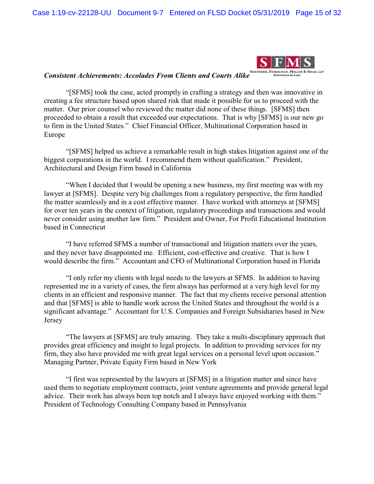Case 1:19-cv-22128-UU Document 9-7 Entered on FLSD Docket 05/31/2019 Page 15 of 32



# *Consistent Achievements: Accolades From Clients and Courts Alike*

"[SFMS] took the case, acted promptly in crafting a strategy and then was innovative in creating a fee structure based upon shared risk that made it possible for us to proceed with the matter. Our prior counsel who reviewed the matter did none of these things. [SFMS] then proceeded to obtain a result that exceeded our expectations. That is why [SFMS] is our new go to firm in the United States." Chief Financial Officer, Multinational Corporation based in Europe

"[SFMS] helped us achieve a remarkable result in high stakes litigation against one of the biggest corporations in the world. I recommend them without qualification." President, Architectural and Design Firm based in California

"When I decided that I would be opening a new business, my first meeting was with my lawyer at [SFMS]. Despite very big challenges from a regulatory perspective, the firm handled the matter seamlessly and in a cost effective manner. I have worked with attorneys at [SFMS] for over ten years in the context of litigation, regulatory proceedings and transactions and would never consider using another law firm." President and Owner, For Profit Educational Institution based in Connecticut

"I have referred SFMS a number of transactional and litigation matters over the years, and they never have disappointed me. Efficient, cost-effective and creative. That is how I would describe the firm." Accountant and CFO of Multinational Corporation based in Florida

"I only refer my clients with legal needs to the lawyers at SFMS. In addition to having represented me in a variety of cases, the firm always has performed at a very high level for my clients in an efficient and responsive manner. The fact that my clients receive personal attention and that [SFMS] is able to handle work across the United States and throughout the world is a significant advantage." Accountant for U.S. Companies and Foreign Subsidiaries based in New Jersey

"The lawyers at [SFMS] are truly amazing. They take a multi-disciplinary approach that provides great efficiency and insight to legal projects. In addition to providing services for my firm, they also have provided me with great legal services on a personal level upon occasion." Managing Partner, Private Equity Firm based in New York

"I first was represented by the lawyers at [SFMS] in a litigation matter and since have used them to negotiate employment contracts, joint venture agreements and provide general legal advice. Their work has always been top notch and I always have enjoyed working with them." President of Technology Consulting Company based in Pennsylvania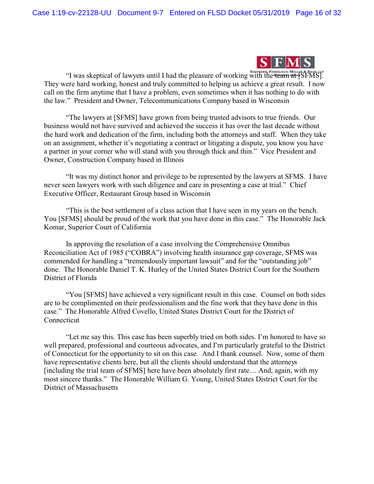

"I was skeptical of lawyers until I had the pleasure of working with the **team** at [SFMS]. They were hard working, honest and truly committed to helping us achieve a great result. I now call on the firm anytime that I have a problem, even sometimes when it has nothing to do with the law." President and Owner, Telecommunications Company based in Wisconsin

"The lawyers at [SFMS] have grown from being trusted advisors to true friends. Our business would not have survived and achieved the success it has over the last decade without the hard work and dedication of the firm, including both the attorneys and staff. When they take on an assignment, whether it's negotiating a contract or litigating a dispute, you know you have a partner in your corner who will stand with you through thick and thin." Vice President and Owner, Construction Company based in Illinois

"It was my distinct honor and privilege to be represented by the lawyers at SFMS. I have never seen lawyers work with such diligence and care in presenting a case at trial." Chief Executive Officer, Restaurant Group based in Wisconsin

"This is the best settlement of a class action that I have seen in my years on the bench. You [SFMS] should be proud of the work that you have done in this case." The Honorable Jack Komar, Superior Court of California

In approving the resolution of a case involving the Comprehensive Omnibus Reconciliation Act of 1985 ("COBRA") involving health insurance gap coverage, SFMS was commended for handling a "tremendously important lawsuit" and for the "outstanding job" done. The Honorable Daniel T. K. Hurley of the United States District Court for the Southern District of Florida

"You [SFMS] have achieved a very significant result in this case. Counsel on both sides are to be complimented on their professionalism and the fine work that they have done in this case." The Honorable Alfred Covello, United States District Court for the District of Connecticut

"Let me say this. This case has been superbly tried on both sides. I'm honored to have so well prepared, professional and courteous advocates, and I'm particularly grateful to the District of Connecticut for the opportunity to sit on this case. And I thank counsel. Now, some of them have representative clients here, but all the clients should understand that the attorneys [including the trial team of SFMS] here have been absolutely first rate.... And, again, with my most sincere thanks." The Honorable William G. Young, United States District Court for the District of Massachusetts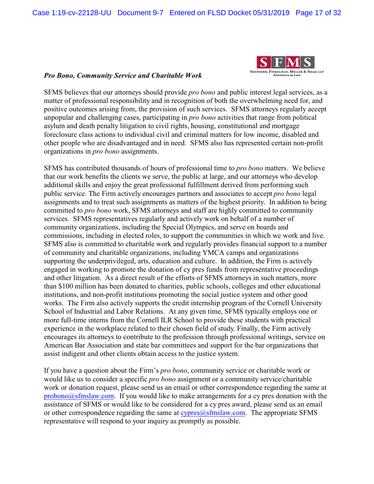

#### *Pro Bono, Community Service and Charitable Work*

SFMS believes that our attorneys should provide *pro bono* and public interest legal services, as a matter of professional responsibility and in recognition of both the overwhelming need for, and positive outcomes arising from, the provision of such services. SFMS attorneys regularly accept unpopular and challenging cases, participating in *pro bono* activities that range from political asylum and death penalty litigation to civil rights, housing, constitutional and mortgage foreclosure class actions to individual civil and criminal matters for low income, disabled and other people who are disadvantaged and in need. SFMS also has represented certain non-profit organizations in *pro bono* assignments.

SFMS has contributed thousands of hours of professional time to *pro bono* matters. We believe that our work benefits the clients we serve, the public at large, and our attorneys who develop additional skills and enjoy the great professional fulfillment derived from performing such public service. The Firm actively encourages partners and associates to accept *pro bono* legal assignments and to treat such assignments as matters of the highest priority. In addition to being committed to *pro bono* work, SFMS attorneys and staff are highly committed to community services. SFMS representatives regularly and actively work on behalf of a number of community organizations, including the Special Olympics, and serve on boards and commissions, including in elected roles, to support the communities in which we work and live. SFMS also is committed to charitable work and regularly provides financial support to a number of community and charitable organizations, including YMCA camps and organizations supporting the underprivileged, arts, education and culture. In addition, the Firm is actively engaged in working to promote the donation of cy pres funds from representative proceedings and other litigation. As a direct result of the efforts of SFMS attorneys in such matters, more than \$100 million has been donated to charities, public schools, colleges and other educational institutions, and non-profit institutions promoting the social justice system and other good works. The Firm also actively supports the credit internship program of the Cornell University School of Industrial and Labor Relations. At any given time, SFMS typically employs one or more full-time interns from the Cornell ILR School to provide these students with practical experience in the workplace related to their chosen field of study. Finally, the Firm actively encourages its attorneys to contribute to the profession through professional writings, service on American Bar Association and state bar committees and support for the bar organizations that assist indigent and other clients obtain access to the justice system.

If you have a question about the Firm's *pro bono*, community service or charitable work or would like us to consider a specific *pro bono* assignment or a community service/charitable work or donation request, please send us an email or other correspondence regarding the same at [probono@sfmslaw.com](http://mai/hich/af0/dbch/af31505/loch/f0%20lto:probono@sfmslaw.com). If you would like to make arrangements for a cy pres donation with the assistance of SFMS or would like to be considered for a cy pres award, please send us an email or other correspondence regarding the same at  $\frac{cypres(@sfmslaw.com)}{cghmslaw.com}$ . The appropriate SFMS representative will respond to your inquiry as promptly as possible.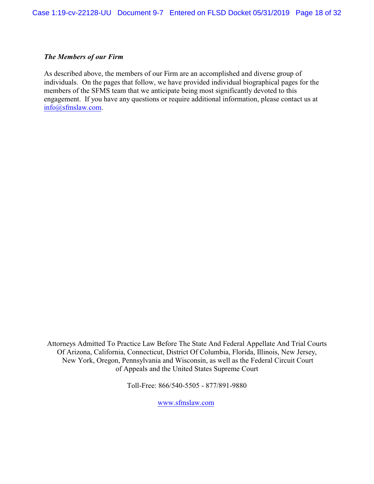#### *The Members of our Firm*

As described above, the members of our Firm are an accomplished and diverse group of individuals. On the pages that follow, we have provided individual biographical pages for the members of the SFMS team that we anticipate being most significantly devoted to this engagement. If you have any questions or require additional information, please contact us at [info@sfmslaw.com](mailto:info@sfmslaw.com).

Attorneys Admitted To Practice Law Before The State And Federal Appellate And Trial Courts Of Arizona, California, Connecticut, District Of Columbia, Florida, Illinois, New Jersey, New York, Oregon, Pennsylvania and Wisconsin, as well as the Federal Circuit Court of Appeals and the United States Supreme Court

Toll-Free: 866/540-5505 - 877/891-9880

[www.sfmslaw.com](http://www.sfmslaw.com)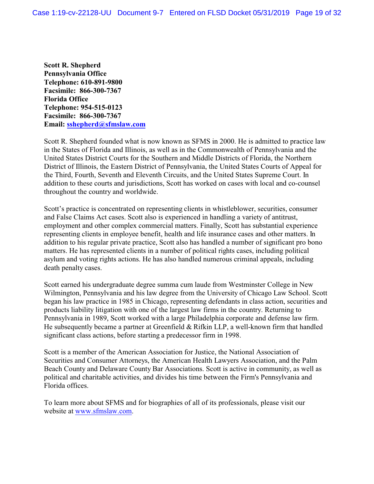**Scott R. Shepherd Pennsylvania Office Telephone: 610-891-9800 Facsimile: 866-300-7367 Florida Office Telephone: 954-515-0123 Facsimile: 866-300-7367 Email: [sshepherd@sfmslaw.com](mailto:eyoung@sfmslaw.com)**

Scott R. Shepherd founded what is now known as SFMS in 2000. He is admitted to practice law in the States of Florida and Illinois, as well as in the Commonwealth of Pennsylvania and the United States District Courts for the Southern and Middle Districts of Florida, the Northern District of Illinois, the Eastern District of Pennsylvania, the United States Courts of Appeal for the Third, Fourth, Seventh and Eleventh Circuits, and the United States Supreme Court. In addition to these courts and jurisdictions, Scott has worked on cases with local and co-counsel throughout the country and worldwide.

Scott's practice is concentrated on representing clients in whistleblower, securities, consumer and False Claims Act cases. Scott also is experienced in handling a variety of antitrust, employment and other complex commercial matters. Finally, Scott has substantial experience representing clients in employee benefit, health and life insurance cases and other matters. In addition to his regular private practice, Scott also has handled a number of significant pro bono matters. He has represented clients in a number of political rights cases, including political asylum and voting rights actions. He has also handled numerous criminal appeals, including death penalty cases.

Scott earned his undergraduate degree summa cum laude from Westminster College in New Wilmington, Pennsylvania and his law degree from the University of Chicago Law School. Scott began his law practice in 1985 in Chicago, representing defendants in class action, securities and products liability litigation with one of the largest law firms in the country. Returning to Pennsylvania in 1989, Scott worked with a large Philadelphia corporate and defense law firm. He subsequently became a partner at Greenfield & Rifkin LLP, a well-known firm that handled significant class actions, before starting a predecessor firm in 1998.

Scott is a member of the American Association for Justice, the National Association of Securities and Consumer Attorneys, the American Health Lawyers Association, and the Palm Beach County and Delaware County Bar Associations. Scott is active in community, as well as political and charitable activities, and divides his time between the Firm's Pennsylvania and Florida offices.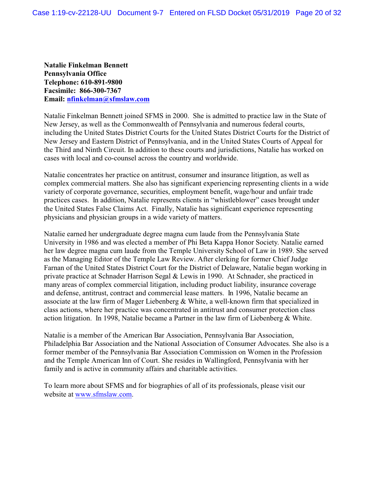**Natalie Finkelman Bennett Pennsylvania Office Telephone: 610-891-9800 Facsimile: 866-300-7367 Email: [nfinkelman@sfmslaw.com](mailto:nfinkelman@sfmslaw.com)**

Natalie Finkelman Bennett joined SFMS in 2000. She is admitted to practice law in the State of New Jersey, as well as the Commonwealth of Pennsylvania and numerous federal courts, including the United States District Courts for the United States District Courts for the District of New Jersey and Eastern District of Pennsylvania, and in the United States Courts of Appeal for the Third and Ninth Circuit. In addition to these courts and jurisdictions, Natalie has worked on cases with local and co-counsel across the country and worldwide.

Natalie concentrates her practice on antitrust, consumer and insurance litigation, as well as complex commercial matters. She also has significant experiencing representing clients in a wide variety of corporate governance, securities, employment benefit, wage/hour and unfair trade practices cases. In addition, Natalie represents clients in "whistleblower" cases brought under the United States False Claims Act. Finally, Natalie has significant experience representing physicians and physician groups in a wide variety of matters.

Natalie earned her undergraduate degree magna cum laude from the Pennsylvania State University in 1986 and was elected a member of Phi Beta Kappa Honor Society. Natalie earned her law degree magna cum laude from the Temple University School of Law in 1989. She served as the Managing Editor of the Temple Law Review. After clerking for former Chief Judge Farnan of the United States District Court for the District of Delaware, Natalie began working in private practice at Schnader Harrison Segal & Lewis in 1990. At Schnader, she practiced in many areas of complex commercial litigation, including product liability, insurance coverage and defense, antitrust, contract and commercial lease matters. In 1996, Natalie became an associate at the law firm of Mager Liebenberg & White, a well-known firm that specialized in class actions, where her practice was concentrated in antitrust and consumer protection class action litigation. In 1998, Natalie became a Partner in the law firm of Liebenberg & White.

Natalie is a member of the American Bar Association, Pennsylvania Bar Association, Philadelphia Bar Association and the National Association of Consumer Advocates. She also is a former member of the Pennsylvania Bar Association Commission on Women in the Profession and the Temple American Inn of Court. She resides in Wallingford, Pennsylvania with her family and is active in community affairs and charitable activities.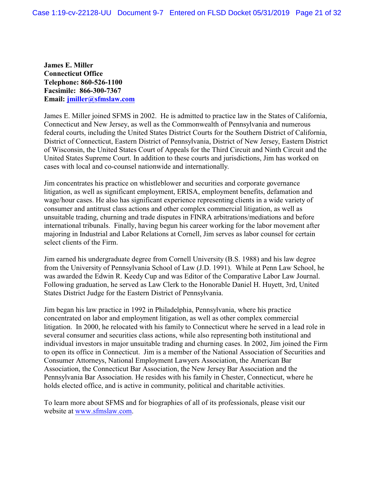**James E. Miller Connecticut Office Telephone: 860-526-1100 Facsimile: 866-300-7367 Email: [jmiller@sfmslaw.com](mailto:eyoung@sfmslaw.com)**

James E. Miller joined SFMS in 2002. He is admitted to practice law in the States of California, Connecticut and New Jersey, as well as the Commonwealth of Pennsylvania and numerous federal courts, including the United States District Courts for the Southern District of California, District of Connecticut, Eastern District of Pennsylvania, District of New Jersey, Eastern District of Wisconsin, the United States Court of Appeals for the Third Circuit and Ninth Circuit and the United States Supreme Court. In addition to these courts and jurisdictions, Jim has worked on cases with local and co-counsel nationwide and internationally.

Jim concentrates his practice on whistleblower and securities and corporate governance litigation, as well as significant employment, ERISA, employment benefits, defamation and wage/hour cases. He also has significant experience representing clients in a wide variety of consumer and antitrust class actions and other complex commercial litigation, as well as unsuitable trading, churning and trade disputes in FINRA arbitrations/mediations and before international tribunals. Finally, having begun his career working for the labor movement after majoring in Industrial and Labor Relations at Cornell, Jim serves as labor counsel for certain select clients of the Firm.

Jim earned his undergraduate degree from Cornell University (B.S. 1988) and his law degree from the University of Pennsylvania School of Law (J.D. 1991). While at Penn Law School, he was awarded the Edwin R. Keedy Cup and was Editor of the Comparative Labor Law Journal. Following graduation, he served as Law Clerk to the Honorable Daniel H. Huyett, 3rd, United States District Judge for the Eastern District of Pennsylvania.

Jim began his law practice in 1992 in Philadelphia, Pennsylvania, where his practice concentrated on labor and employment litigation, as well as other complex commercial litigation. In 2000, he relocated with his family to Connecticut where he served in a lead role in several consumer and securities class actions, while also representing both institutional and individual investors in major unsuitable trading and churning cases. In 2002, Jim joined the Firm to open its office in Connecticut. Jim is a member of the National Association of Securities and Consumer Attorneys, National Employment Lawyers Association, the American Bar Association, the Connecticut Bar Association, the New Jersey Bar Association and the Pennsylvania Bar Association. He resides with his family in Chester, Connecticut, where he holds elected office, and is active in community, political and charitable activities.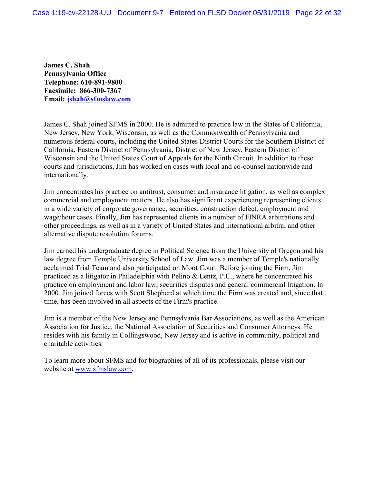**James C. Shah Pennsylvania Office Telephone: 610-891-9800 Facsimile: 866-300-7367 Email: [jshah@sfmslaw.com](mailto:tsegal@sfmslaw.com)**

James C. Shah joined SFMS in 2000. He is admitted to practice law in the States of California, New Jersey, New York, Wisconsin, as well as the Commonwealth of Pennsylvania and numerous federal courts, including the United States District Courts for the Southern District of California, Eastern District of Pennsylvania, District of New Jersey, Eastern District of Wisconsin and the United States Court of Appeals for the Ninth Circuit. In addition to these courts and jurisdictions, Jim has worked on cases with local and co-counsel nationwide and internationally.

Jim concentrates his practice on antitrust, consumer and insurance litigation, as well as complex commercial and employment matters. He also has significant experiencing representing clients in a wide variety of corporate governance, securities, construction defect, employment and wage/hour cases. Finally, Jim has represented clients in a number of FINRA arbitrations and other proceedings, as well as in a variety of United States and international arbitral and other alternative dispute resolution forums.

Jim earned his undergraduate degree in Political Science from the University of Oregon and his law degree from Temple University School of Law. Jim was a member of Temple's nationally acclaimed Trial Team and also participated on Moot Court. Before joining the Firm, Jim practiced as a litigator in Philadelphia with Pelino & Lentz, P.C., where he concentrated his practice on employment and labor law, securities disputes and general commercial litigation. In 2000, Jim joined forces with Scott Shepherd at which time the Firm was created and, since that time, has been involved in all aspects of the Firm's practice.

Jim is a member of the New Jersey and Pennsylvania Bar Associations, as well as the American Association for Justice, the National Association of Securities and Consumer Attorneys. He resides with his family in Collingswood, New Jersey and is active in community, political and charitable activities.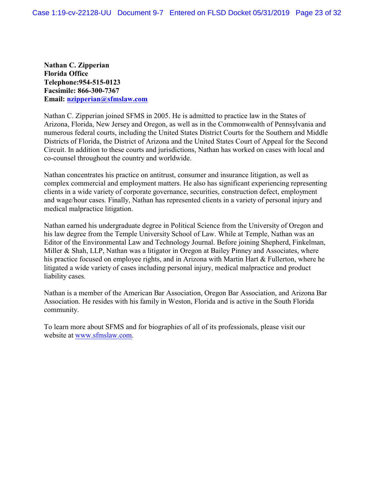**Nathan C. Zipperian Florida Office Telephone:954-515-0123 Facsimile: 866-300-7367 Email: [nzipperian@sfmslaw.com](mailto:nzipperian@sfmslaw.com)**

Nathan C. Zipperian joined SFMS in 2005. He is admitted to practice law in the States of Arizona, Florida, New Jersey and Oregon, as well as in the Commonwealth of Pennsylvania and numerous federal courts, including the United States District Courts for the Southern and Middle Districts of Florida, the District of Arizona and the United States Court of Appeal for the Second Circuit. In addition to these courts and jurisdictions, Nathan has worked on cases with local and co-counsel throughout the country and worldwide.

Nathan concentrates his practice on antitrust, consumer and insurance litigation, as well as complex commercial and employment matters. He also has significant experiencing representing clients in a wide variety of corporate governance, securities, construction defect, employment and wage/hour cases. Finally, Nathan has represented clients in a variety of personal injury and medical malpractice litigation.

Nathan earned his undergraduate degree in Political Science from the University of Oregon and his law degree from the Temple University School of Law. While at Temple, Nathan was an Editor of the Environmental Law and Technology Journal. Before joining Shepherd, Finkelman, Miller & Shah, LLP, Nathan was a litigator in Oregon at Bailey Pinney and Associates, where his practice focused on employee rights, and in Arizona with Martin Hart & Fullerton, where he litigated a wide variety of cases including personal injury, medical malpractice and product liability cases.

Nathan is a member of the American Bar Association, Oregon Bar Association, and Arizona Bar Association. He resides with his family in Weston, Florida and is active in the South Florida community.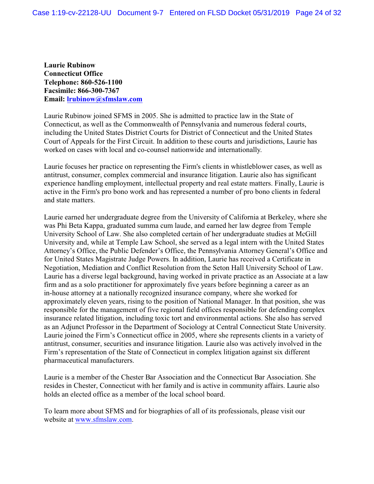**Laurie Rubinow Connecticut Office Telephone: 860-526-1100 Facsimile: 866-300-7367 Email: [lrubinow@sfmslaw.com](mailto:eyoung@sfmslaw.com)**

Laurie Rubinow joined SFMS in 2005. She is admitted to practice law in the State of Connecticut, as well as the Commonwealth of Pennsylvania and numerous federal courts, including the United States District Courts for District of Connecticut and the United States Court of Appeals for the First Circuit. In addition to these courts and jurisdictions, Laurie has worked on cases with local and co-counsel nationwide and internationally.

Laurie focuses her practice on representing the Firm's clients in whistleblower cases, as well as antitrust, consumer, complex commercial and insurance litigation. Laurie also has significant experience handling employment, intellectual property and real estate matters. Finally, Laurie is active in the Firm's pro bono work and has represented a number of pro bono clients in federal and state matters.

Laurie earned her undergraduate degree from the University of California at Berkeley, where she was Phi Beta Kappa, graduated summa cum laude, and earned her law degree from Temple University School of Law. She also completed certain of her undergraduate studies at McGill University and, while at Temple Law School, she served as a legal intern with the United States Attorney's Office, the Public Defender's Office, the Pennsylvania Attorney General's Office and for United States Magistrate Judge Powers. In addition, Laurie has received a Certificate in Negotiation, Mediation and Conflict Resolution from the Seton Hall University School of Law. Laurie has a diverse legal background, having worked in private practice as an Associate at a law firm and as a solo practitioner for approximately five years before beginning a career as an in-house attorney at a nationally recognized insurance company, where she worked for approximately eleven years, rising to the position of National Manager. In that position, she was responsible for the management of five regional field offices responsible for defending complex insurance related litigation, including toxic tort and environmental actions. She also has served as an Adjunct Professor in the Department of Sociology at Central Connecticut State University. Laurie joined the Firm's Connecticut office in 2005, where she represents clients in a variety of antitrust, consumer, securities and insurance litigation. Laurie also was actively involved in the Firm's representation of the State of Connecticut in complex litigation against six different pharmaceutical manufacturers.

Laurie is a member of the Chester Bar Association and the Connecticut Bar Association. She resides in Chester, Connecticut with her family and is active in community affairs. Laurie also holds an elected office as a member of the local school board.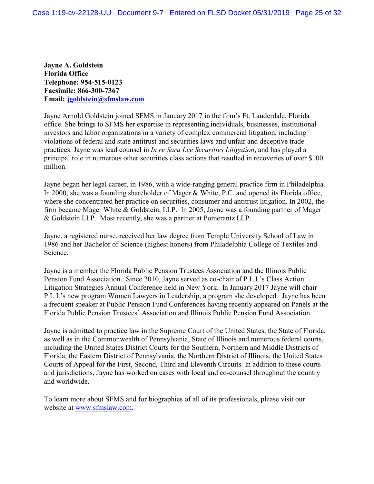**Jayne A. Goldstein Florida Office Telephone: 954-515-0123 Facsimile: 866-300-7367 Email: [jgoldstein@sfmslaw.com](mailto:jgoldstein@sfmslaw.com)**

Jayne Arnold Goldstein joined SFMS in January 2017 in the firm's Ft. Lauderdale, Florida office. She brings to SFMS her expertise in representing individuals, businesses, institutional investors and labor organizations in a variety of complex commercial litigation, including violations of federal and state antitrust and securities laws and unfair and deceptive trade practices. Jayne was lead counsel in *In re Sara Lee Securities Litigation*, and has played a principal role in numerous other securities class actions that resulted in recoveries of over \$100 million.

Jayne began her legal career, in 1986, with a wide-ranging general practice firm in Philadelphia. In 2000, she was a founding shareholder of Mager & White, P.C. and opened its Florida office, where she concentrated her practice on securities, consumer and antitrust litigation. In 2002, the firm became Mager White & Goldstein, LLP. In 2005, Jayne was a founding partner of Mager & Goldstein LLP. Most recently, she was a partner at Pomerantz LLP.

Jayne, a registered nurse, received her law degree from Temple University School of Law in 1986 and her Bachelor of Science (highest honors) from Philadelphia College of Textiles and Science.

Jayne is a member the Florida Public Pension Trustees Association and the Illinois Public Pension Fund Association. Since 2010, Jayne served as co-chair of P.L.I.'s Class Action Litigation Strategies Annual Conference held in New York. In January 2017 Jayne will chair P.L.I.'s new program Women Lawyers in Leadership, a program she developed. Jayne has been a frequent speaker at Public Pension Fund Conferences having recently appeared on Panels at the Florida Public Pension Trustees' Association and Illinois Public Pension Fund Association.

Jayne is admitted to practice law in the Supreme Court of the United States, the State of Florida, as well as in the Commonwealth of Pennsylvania, State of Illinois and numerous federal courts, including the United States District Courts for the Southern, Northern and Middle Districts of Florida, the Eastern District of Pennsylvania, the Northern District of Illinois, the United States Courts of Appeal for the First, Second, Third and Eleventh Circuits. In addition to these courts and jurisdictions, Jayne has worked on cases with local and co-counsel throughout the country and worldwide.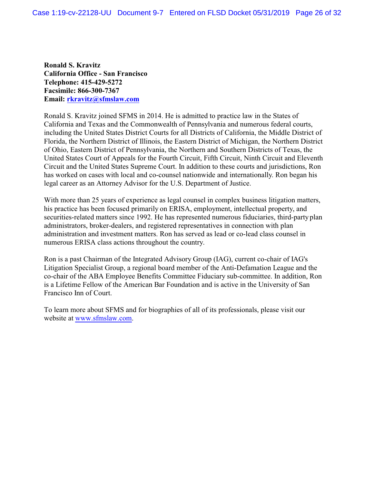**Ronald S. Kravitz California Office - San Francisco Telephone: 415-429-5272 Facsimile: 866-300-7367 Email: [rkravitz@sfmslaw.com](mailto:rkravitz@sfmslaw.com)**

Ronald S. Kravitz joined SFMS in 2014. He is admitted to practice law in the States of California and Texas and the Commonwealth of Pennsylvania and numerous federal courts, including the United States District Courts for all Districts of California, the Middle District of Florida, the Northern District of Illinois, the Eastern District of Michigan, the Northern District of Ohio, Eastern District of Pennsylvania, the Northern and Southern Districts of Texas, the United States Court of Appeals for the Fourth Circuit, Fifth Circuit, Ninth Circuit and Eleventh Circuit and the United States Supreme Court. In addition to these courts and jurisdictions, Ron has worked on cases with local and co-counsel nationwide and internationally. Ron began his legal career as an Attorney Advisor for the U.S. Department of Justice.

With more than 25 years of experience as legal counsel in complex business litigation matters, his practice has been focused primarily on ERISA, employment, intellectual property, and securities-related matters since 1992. He has represented numerous fiduciaries, third-party plan administrators, broker-dealers, and registered representatives in connection with plan administration and investment matters. Ron has served as lead or co-lead class counsel in numerous ERISA class actions throughout the country.

Ron is a past Chairman of the Integrated Advisory Group (IAG), current co-chair of IAG's Litigation Specialist Group, a regional board member of the Anti-Defamation League and the co-chair of the ABA Employee Benefits Committee Fiduciary sub-committee. In addition, Ron is a Lifetime Fellow of the American Bar Foundation and is active in the University of San Francisco Inn of Court.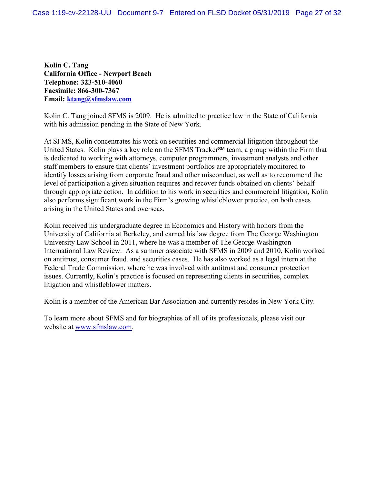**Kolin C. Tang California Office - Newport Beach Telephone: 323-510-4060 Facsimile: 866-300-7367 Email: [ktang@sfmslaw.com](mailto:ktang@sfmslaw.com)**

Kolin C. Tang joined SFMS is 2009. He is admitted to practice law in the State of California with his admission pending in the State of New York.

At SFMS, Kolin concentrates his work on securities and commercial litigation throughout the United States. Kolin plays a key role on the SFMS Tracker<sup>SM</sup> team, a group within the Firm that is dedicated to working with attorneys, computer programmers, investment analysts and other staff members to ensure that clients' investment portfolios are appropriately monitored to identify losses arising from corporate fraud and other misconduct, as well as to recommend the level of participation a given situation requires and recover funds obtained on clients' behalf through appropriate action. In addition to his work in securities and commercial litigation, Kolin also performs significant work in the Firm's growing whistleblower practice, on both cases arising in the United States and overseas.

Kolin received his undergraduate degree in Economics and History with honors from the University of California at Berkeley, and earned his law degree from The George Washington University Law School in 2011, where he was a member of The George Washington International Law Review. As a summer associate with SFMS in 2009 and 2010, Kolin worked on antitrust, consumer fraud, and securities cases. He has also worked as a legal intern at the Federal Trade Commission, where he was involved with antitrust and consumer protection issues. Currently, Kolin's practice is focused on representing clients in securities, complex litigation and whistleblower matters.

Kolin is a member of the American Bar Association and currently resides in New York City.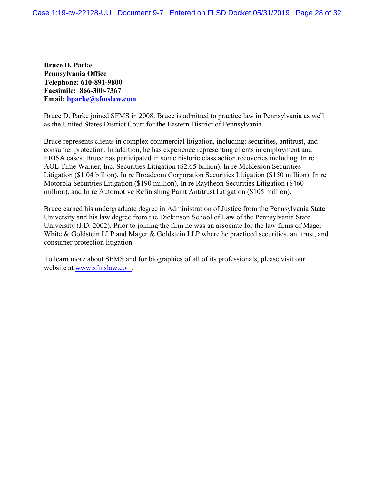**Bruce D. Parke Pennsylvania Office Telephone: 610-891-9800 Facsimile: 866-300-7367 Email: [bparke@sfmslaw.com](mailto:nfinkelman@sfmslaw.com)**

Bruce D. Parke joined SFMS in 2008. Bruce is admitted to practice law in Pennsylvania as well as the United States District Court for the Eastern District of Pennsylvania.

Bruce represents clients in complex commercial litigation, including: securities, antitrust, and consumer protection. In addition, he has experience representing clients in employment and ERISA cases. Bruce has participated in some historic class action recoveries including: In re AOL Time Warner, Inc. Securities Litigation (\$2.65 billion), In re McKesson Securities Litigation (\$1.04 billion), In re Broadcom Corporation Securities Litigation (\$150 million), In re Motorola Securities Litigation (\$190 million), In re Raytheon Securities Litigation (\$460 million), and In re Automotive Refinishing Paint Antitrust Litigation (\$105 million).

Bruce earned his undergraduate degree in Administration of Justice from the Pennsylvania State University and his law degree from the Dickinson School of Law of the Pennsylvania State University (J.D. 2002). Prior to joining the firm he was an associate for the law firms of Mager White & Goldstein LLP and Mager & Goldstein LLP where he practiced securities, antitrust, and consumer protection litigation.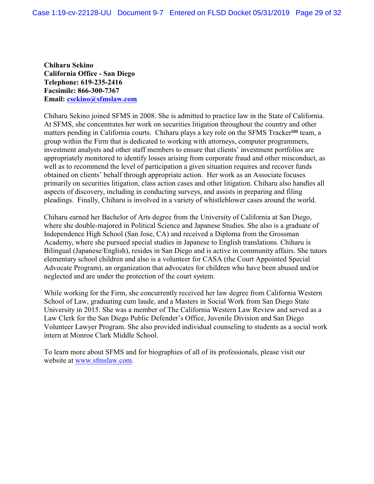**Chiharu Sekino California Office - San Diego Telephone: 619-235-2416 Facsimile: 866-300-7367 Email: [csekino@sfmslaw.com](mailto:csekino@sfmslaw.com)**

Chiharu Sekino joined SFMS in 2008. She is admitted to practice law in the State of California. At SFMS, she concentrates her work on securities litigation throughout the country and other matters pending in California courts. Chiharu plays a key role on the SFMS Tracker<sup>SM</sup> team, a group within the Firm that is dedicated to working with attorneys, computer programmers, investment analysts and other staff members to ensure that clients' investment portfolios are appropriately monitored to identify losses arising from corporate fraud and other misconduct, as well as to recommend the level of participation a given situation requires and recover funds obtained on clients' behalf through appropriate action. Her work as an Associate focuses primarily on securities litigation, class action cases and other litigation. Chiharu also handles all aspects of discovery, including in conducting surveys, and assists in preparing and filing pleadings. Finally, Chiharu is involved in a variety of whistleblower cases around the world.

Chiharu earned her Bachelor of Arts degree from the University of California at San Diego, where she double-majored in Political Science and Japanese Studies. She also is a graduate of Independence High School (San Jose, CA) and received a Diploma from the Grossman Academy, where she pursued special studies in Japanese to English translations. Chiharu is Bilingual (Japanese/English), resides in San Diego and is active in community affairs. She tutors elementary school children and also is a volunteer for CASA (the Court Appointed Special Advocate Program), an organization that advocates for children who have been abused and/or neglected and are under the protection of the court system.

While working for the Firm, she concurrently received her law degree from California Western School of Law, graduating cum laude, and a Masters in Social Work from San Diego State University in 2015. She was a member of The California Western Law Review and served as a Law Clerk for the San Diego Public Defender's Office, Juvenile Division and San Diego Volunteer Lawyer Program. She also provided individual counseling to students as a social work intern at Monroe Clark Middle School.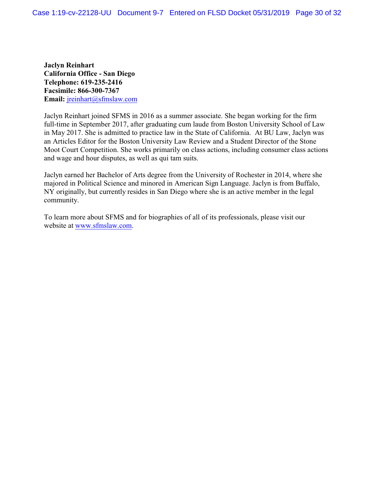**Jaclyn Reinhart California Office - San Diego Telephone: 619-235-2416 Facsimile: 866-300-7367 Email:** [jreinhart@sfmslaw.com](mailto:jreinhart@sfmslaw.com)

Jaclyn Reinhart joined SFMS in 2016 as a summer associate. She began working for the firm full-time in September 2017, after graduating cum laude from Boston University School of Law in May 2017. She is admitted to practice law in the State of California. At BU Law, Jaclyn was an Articles Editor for the Boston University Law Review and a Student Director of the Stone Moot Court Competition. She works primarily on class actions, including consumer class actions and wage and hour disputes, as well as qui tam suits.

Jaclyn earned her Bachelor of Arts degree from the University of Rochester in 2014, where she majored in Political Science and minored in American Sign Language. Jaclyn is from Buffalo, NY originally, but currently resides in San Diego where she is an active member in the legal community.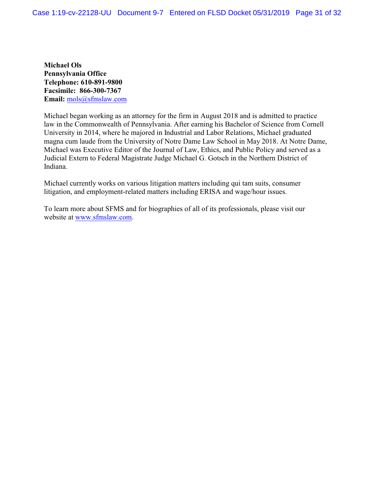**Michael Ols Pennsylvania Office Telephone: 610-891-9800 Facsimile: 866-300-7367 Email:** [mols@sfmslaw.com](mailto:mols@sfmslaw.com)

Michael began working as an attorney for the firm in August 2018 and is admitted to practice law in the Commonwealth of Pennsylvania. After earning his Bachelor of Science from Cornell University in 2014, where he majored in Industrial and Labor Relations, Michael graduated magna cum laude from the University of Notre Dame Law School in May 2018. At Notre Dame, Michael was Executive Editor of the Journal of Law, Ethics, and Public Policy and served as a Judicial Extern to Federal Magistrate Judge Michael G. Gotsch in the Northern District of Indiana.

Michael currently works on various litigation matters including qui tam suits, consumer litigation, and employment-related matters including ERISA and wage/hour issues.